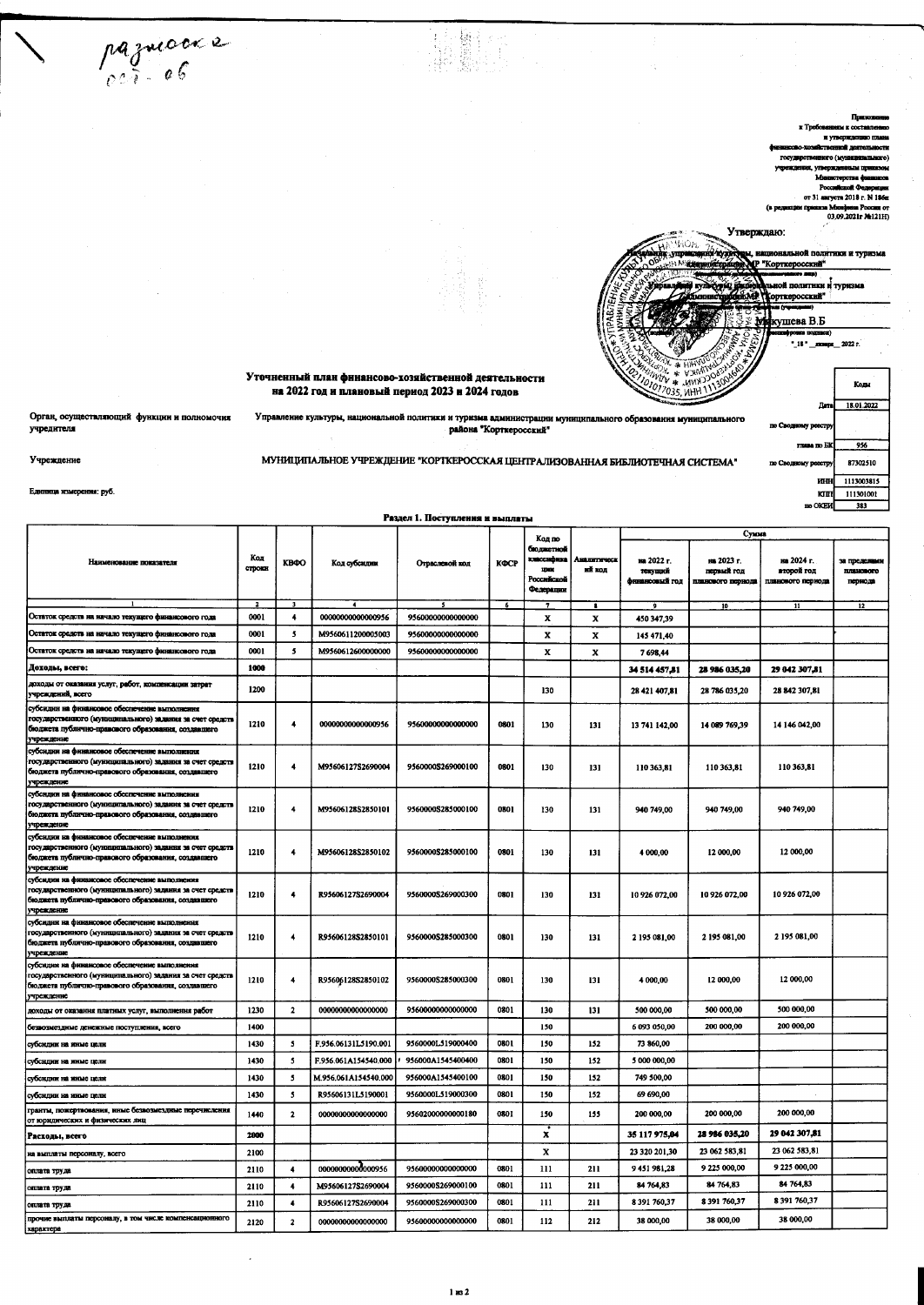Account Company of 31 analysis 2018 r. N 186m  $\epsilon$ Утверждаю: ой политики и туризма "Корткеросский" ткеросский кушева В.Б .<br>. 18. Уточненный план финансово-хозяйственной деятельности Je

x vi

a Mandana Poccan or<br>03,09.2021r Me121H)

.<br>2022 r.

Kome

18.01.2022

 $956$ 

87302510

1113003815

111301001

 $\frac{1}{383}$ 

ra no El

**KIHH** 

кш

**BO OKEN** 

8 391 760,37

38 000,00

## на 2022 год и плановый период 2023 и 2024 годов

Управление культуры, национальной политики и туриз

Орган, осущ ляющий функции и полномоч учредителя

 $\frac{1}{2110}$ 

2120

 $\overline{4}$ 

 $\pmb{2}$ 

R95606127S2690004

00000000000000000

pazuioces

района "Корткеросский" МУНИЦИПАЛЬНОЕ УЧРЕЖДЕНИЕ "КОРТКЕРОССКАЯ ЦЕНТРАЛИЗОВАННАЯ БИБЛИОТЕЧНАЯ СИСТЕМА"

Раздел 1. Поступления и выплаты

ма администрации муниц

ro obn

m

m (

Сумма

無調整 

ца измер ния: руб.

Учреждение

оплата труда

характера

прочне выплаты персоналу, в том числе

|                                                                                                                                                                                |                      |                          |                             |                                   |                          | Код по                                                       |                               |                                         | Cynnea                                        |                                               |                                      |
|--------------------------------------------------------------------------------------------------------------------------------------------------------------------------------|----------------------|--------------------------|-----------------------------|-----------------------------------|--------------------------|--------------------------------------------------------------|-------------------------------|-----------------------------------------|-----------------------------------------------|-----------------------------------------------|--------------------------------------|
| Нанменование показателя                                                                                                                                                        | Код<br>строки        | <b>KB40</b>              | Код субсидни                | Отраслевой код                    | КФСР                     | бюджетной<br>классифика<br>12010<br>Poccaticzoś<br>Федерации | <b>LEARETH SCOK</b><br>ий код | на 2022 г.<br>тскуший<br>финансовый год | на 2023 г.<br>первый год<br>планового периода | на 2024 г.<br>второй год<br>планового периода | за пределами<br>планового<br>периода |
| Остаток средств на начало текущего финансового года                                                                                                                            | $\mathbf{z}$<br>0001 | 3<br>4                   | $\cdot$<br>0000000000000956 | $\mathbf{s}$<br>95600000000000000 | $\overline{\phantom{a}}$ |                                                              | $\overline{\mathbf{r}}$       |                                         | 10                                            | $\overline{\mathbf{u}}$                       | 12                                   |
|                                                                                                                                                                                | 0001                 | -5                       | M9560611200005003           |                                   |                          | x                                                            | x                             | 450 347.39                              |                                               |                                               |                                      |
| Остаток средств на начало текущего финансового года                                                                                                                            |                      |                          |                             | 95600000000000000                 |                          | x                                                            | x                             | 145 471,40                              |                                               |                                               |                                      |
| Остаток средств на начало текущего финансового года                                                                                                                            | 0001<br>1000         | 5                        | M9560612600000000           | 95600000000000000                 |                          | x                                                            | x                             | 7698.44                                 |                                               |                                               |                                      |
| Доходы, всего:<br>доходы от оказания услуг, работ, компенсации затрат                                                                                                          |                      |                          |                             |                                   |                          |                                                              |                               | 34 514 457,81                           | 28 986 035,20                                 | 29 042 307 81                                 |                                      |
| учреждений, всего                                                                                                                                                              | 1200                 |                          |                             |                                   |                          | 130                                                          |                               | 28 421 407,81                           | 28 786 035,20                                 | 28 842 307,81                                 |                                      |
| субсидии на финансовое обеспечение выполнения<br>государственного (муниципального) задания за счет средств<br>бюджета публично-правового образования, создавшего<br>учреждение | 1210                 | 4                        | 0000000000000956            | 95600000000000000                 | 0801                     | 130                                                          | 131                           | 13 741 142,00                           | 14 089 769 39                                 | 14 146 042.00                                 |                                      |
| субсидни на финансовое обеспечение выполнения<br>государственного (муниципального) задания за счет средств<br>бюджета публично-правового образования, создавшего<br>учреждение | 1210                 | 4                        | M95606127S2690004           | 9560000S269000100                 | 0801                     | 130                                                          | 131                           | 110 363,81                              | 110 363,81                                    | 110 363,81                                    |                                      |
| субсидии на финансовое обеспечение выполнения<br>государственного (муниципального) задания за счет средств<br>бюджета публично-правового образования, создавшего<br>учреждение | 1210                 | 4                        | M95606128S2850101           | 9560000S285000100                 | 0801                     | 130                                                          | 131                           | 940 749,00                              | 940 749,00                                    | 940 749,00                                    |                                      |
| субсидии на финансовое обеспечение выполнения<br>государственного (муниципального) задания за счет средств<br>бюджета публично-правового образования, создавшего<br>учреждение | 1210                 | $\overline{\phantom{a}}$ | M95606128\$2850102          | 9560000S285000100                 | 0801                     | 130                                                          | 131                           | 4 000,00                                | 12 000,00                                     | 12 000.00                                     |                                      |
| субсидии на финансовое обеспечение выполнения<br>государственного (муниципального) задання за счет средств<br>бюджета публично-правового образования, создавшего<br>учреждение | 1210                 | $\ddot{\phantom{1}}$     | R95606127S2690004           | 9560000\$269000300                | 0801                     | 130                                                          | 131                           | 10 926 072,00                           | 10 926 072,00                                 | 10 926 072,00                                 |                                      |
| субсидин на финансовое обеспечение выполнения<br>государственного (муниципального) задания за счет средств<br>бюджета публично-правового образования, создавшего<br>учреждение | 1210                 | $\ddot{\phantom{1}}$     | R95606128S2850101           | 9560000S285000300                 | 0801                     | 130                                                          | 131                           | 2 195 081,00                            | 2 195 081,00                                  | 2 195 081,00                                  |                                      |
| субсидин на финансовое обеспечение выполнения<br>государственного (муниципального) задания за счет средств<br>бюджета публично-правового образования, создавшего<br>учреждение | 1210                 | $\overline{4}$           | R95606128S2850102           | 9560000S285000300                 | 0801                     | 130                                                          | 131                           | 4 000.00                                | 12 000,00                                     | 12 000,00                                     |                                      |
| доходы от оказания платных услуг, выполнения работ                                                                                                                             | 1230                 | $\mathbf{z}$             | 00000000000000000           | 95600000000000000                 | 0801                     | 130                                                          | 131                           | 500 000,00                              | 500 000,00                                    | 500 000,00                                    |                                      |
| безвозмездные денежные поступления, всего                                                                                                                                      | 1400                 |                          |                             |                                   |                          | 150                                                          |                               | 6 093 050,00                            | 200 000,00                                    | 200 000,00                                    |                                      |
| субсидии на инме цели                                                                                                                                                          | 1430                 | 5                        | F.956.06131L5190.001        | 9560000L519000400                 | 0801                     | 150                                                          | 152                           | 73 860,00                               |                                               |                                               |                                      |
| субсидии на инме цели                                                                                                                                                          | 1430                 | 5                        | F.956.061A154540.000        | 956000A1545400400                 | 0801                     | 150                                                          | 152                           | 5 000 000,00                            |                                               |                                               |                                      |
| субсидин на иные цели                                                                                                                                                          | 1430                 | -5                       | M.956.061A154540.000        | 956000A1545400100                 | 0801                     | 150                                                          | 152                           | 749 500,00                              |                                               |                                               |                                      |
| субсидни на ниме цели                                                                                                                                                          | 1430                 | $\mathbf{s}$             | R95606131L5190001           | 9560000L519000300                 | 0801                     | 150                                                          | 152                           | 69 690,00                               |                                               |                                               |                                      |
| гранты, пожертвования, нные безвозмездные перечислення<br>от юридических и физических лиц                                                                                      | 1440                 | $\mathbf{2}$             | 00000000000000000           | 95602000000000180                 | 0801                     | 150                                                          | 155                           | 200 000,00                              | 200 000,00                                    | 200 000,00                                    |                                      |
| Расходы, всего                                                                                                                                                                 | 2000                 |                          |                             |                                   |                          | $\boldsymbol{\mathrm{x}}$                                    |                               | 35 117 975,04                           | 28 986 035,20                                 | 29 042 307,81                                 |                                      |
| на выплаты персоналу, всего                                                                                                                                                    | 2100                 |                          |                             |                                   |                          | x                                                            |                               | 23 320 201,30                           | 23 062 583,81                                 | 23 062 583,81                                 |                                      |
| оплата труда                                                                                                                                                                   | 2110                 | 4                        | 0000000000000956            | 95600000000000000                 | 0801                     | 111                                                          | 211                           | 9451981,28                              | 9 225 000,00                                  | 9 225 000.00                                  |                                      |
| оплата труда                                                                                                                                                                   | 2110                 | 4                        | M95606127S2690004           | 9560000S269000100                 | 0801                     | 111                                                          | 211                           | 84 764,83                               | 84 764,83                                     | 84 764,83                                     |                                      |

0801

 $0801$ 

 $\overline{111}$ 

112

 $\overline{211}$ 

212

8 391 760,37

38 000,00

8 391 760,37

38 000,00

9560000\$269000300

95600000000000000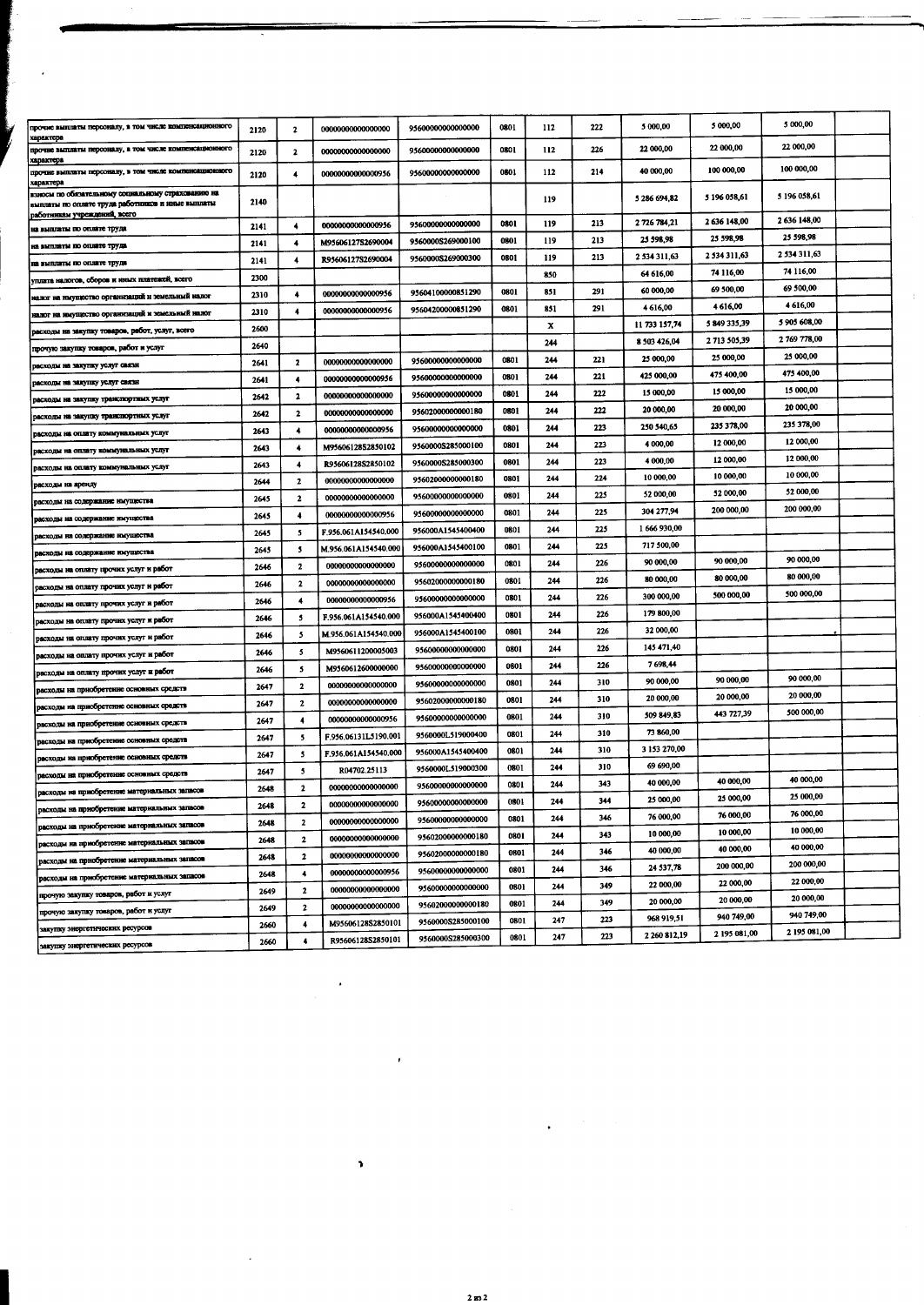| прочне выплаты персоналу, в том числе компенсационного<br>характера                                                  | 2120 | $\overline{\mathbf{z}}$ | 00000000000000000        | 95600000000000000                      | 0801         | 112        | 222        | 5 000,00                  | 5 000,00               | 5 000,00     |  |
|----------------------------------------------------------------------------------------------------------------------|------|-------------------------|--------------------------|----------------------------------------|--------------|------------|------------|---------------------------|------------------------|--------------|--|
| прочне выплаты персоналу, в том числе компенсационного<br>характора                                                  | 2120 | $\mathbf{2}$            | 00000000000000000        | 95600000000000000                      | 0801         | 112        | 226        | 22 000,00                 | 22 000,00              | 22 000,00    |  |
| прочне выплаты персоналу, в том числе компенсационного                                                               | 2120 | 4                       | 00000000000000956        | 9560000000000000                       | 0801         | 112        | 214        | 40 000,00                 | 100 000,00             | 100 000,00   |  |
| характера<br>взносы по обязательному социальному страхованию на<br>выплаты по оплате труда работников и иные выплаты | 2140 |                         |                          |                                        |              | 119        |            | 5 286 694,82              | 5 196 058,61           | 5 196 058,61 |  |
| работникам учреждений, всего                                                                                         | 2141 | ۰                       | 00000000000000956        | 95600000000000000                      | 0801         | 119        | 213        | 2 726 784 21              | 2636148,00             | 2 636 148,00 |  |
| на выплаты по оплате труда<br>на выплаты по оплате труда                                                             | 2141 | 4                       | M95606127S2690004        | 9560000S269000100                      | 0801         | 119        | 213        | 25 598,98                 | 25 598.98              | 25 598,98    |  |
| на выплаты по оплате труда                                                                                           | 2141 | 4                       | R95606127S2690004        | 9560000S269000300                      | 0801         | 119        | 213        | 2 534 311,63              | 2 534 311,63           | 2 534 311,63 |  |
| уплата налогов, сборов и иных платежей, всего                                                                        | 2300 |                         |                          |                                        |              | 850        |            | 64 616,00                 | 74 116,00              | 74 116,00    |  |
| налог на имущество организаций и земельный налог                                                                     | 2310 | 4                       | 00000000000000956        | 95604100000851290                      | 0801         | 851        | 291        | 60 000,00                 | 69 500,00              | 69 500,00    |  |
| налог на ныущество организаций и земельный налог                                                                     | 2310 | 4                       | 00000000000000956        | 95604200000851290                      | 0801         | 851        | 291        | 4 616,00                  | 4616,00                | 4 616,00     |  |
| расходы на закупку товаров, работ, услуг, всего                                                                      | 2600 |                         |                          |                                        |              | x          |            | 11 733 157.74             | 5 849 335,39           | 5 905 608,00 |  |
| прочую закупку товаров, работ и услуг                                                                                | 2640 |                         |                          |                                        |              | 244        |            | 8 503 4 26,04             | 2 713 505,39           | 2 769 778,00 |  |
| расходы на закупку услуг связн                                                                                       | 2641 | 2                       | 00000000000000000        | 95600000000000000                      | 0801         | 244        | 221        | 25 000,00                 | 25 000,00              | 25 000,00    |  |
| расходы на закупку услуг связи                                                                                       | 2641 | 4                       | 0000000000000956         | 95600000000000000                      | 0801         | 244        | 221        | 425 000,00                | 475 400,00             | 475 400,00   |  |
| расходы на закупку транспортных услуг                                                                                | 2642 | $\mathbf{2}$            | 00000000000000000        | 95600000000000000                      | 0801         | 244        | 222        | 15 000,00                 | 15 000,00              | 15 000,00    |  |
| расходы на закупку транспортных услуг                                                                                | 2642 | 2                       | 00000000000000000        | 95602000000000180                      | 0801         | 244        | 222        | 20 000,00                 | 20 000,00              | 20 000,00    |  |
| расходы на оплату коммунальных услуг                                                                                 | 2643 | 4                       | 0000000000000956         | 9560000000000000                       | 0801         | 244        | 223        | 250 540,65                | 235 378,00             | 235 378,00   |  |
| расходы на оплату коммунальных услуг                                                                                 | 2643 | $\ddot{\bullet}$        | M95606128S2850102        | 9560000S285000100                      | 0801         | 244        | 223        | 4 000,00                  | 12 000,00              | 12 000,00    |  |
| расходы на оплату коммунальных услуг                                                                                 | 2643 | 4                       | R95606128S2850102        | 9560000S285000300                      | 0801         | 244        | 223        | 4 000,00                  | 12 000,00              | 12 000,00    |  |
| расходы на аренду                                                                                                    | 2644 | $\mathbf{2}$            | 00000000000000000        | 95602000000000180                      | 0801         | 244        | 224        | 10 000,00                 | 10 000,00              | 10 000,00    |  |
| расходы на содержание имущества                                                                                      | 2645 | $\mathbf{2}$            | 00000000000000000        | 95600000000000000                      | 0801         | 244        | 225        | 52 000,00                 | 52 000,00              | 52 000,00    |  |
| расходы на содержание имущества                                                                                      | 2645 | 4                       | 00000000000000956        | 95600000000000000                      | 0801         | 244        | 225        | 304 277,94                | 200 000,00             | 200 000,00   |  |
| расходы на содержание имущества                                                                                      | 2645 | 5                       | F.956.061A154540.000     | 956000A1545400400                      | 0801         | 244        | 225        | 1 666 930,00              |                        |              |  |
| расходы на содержание нмущества                                                                                      | 2645 | 5                       | M.956.061A154540.000     | 956000A1545400100                      | 0801         | 244        | 225        | 717 500,00                |                        |              |  |
| расходы на оплату прочих услуг и работ                                                                               | 2646 | $\mathbf{2}$            | 00000000000000000        | 95600000000000000                      | 0801         | 244        | 226        | 90 000,00                 | 90 000,00              | 90 000,00    |  |
| расходы на оплату прочих услуг и работ                                                                               | 2646 | $\mathbf{2}$            | 00000000000000000        | 95602000000000180                      | 0801         | 244        | 226        | 80 000,00                 | 80 000,00              | 80 000,00    |  |
| расходы на оплату прочих услуг и работ                                                                               | 2646 | $\blacktriangleleft$    | 00000000000000956        | 95600000000000000                      | 0801         | 244        | 226        | 300 000,00                | 500 000,00             | 500 000,00   |  |
| расходы на оплату прочих услуг и работ                                                                               | 2646 | 5                       | F.956.061A154540.000     | 956000A1545400400                      | 0801         | 244        | 226        | 179 800,00                |                        |              |  |
| расходы на оплату прочих услуг и работ                                                                               | 2646 | -5                      | M.956.061A154540.000     | 956000A1545400100                      | 0801         | 244        | 226        | 32 000,00                 |                        |              |  |
| расходы на оплату прочих услуг и работ                                                                               | 2646 | 5                       | M9560611200005003        | 95600000000000000                      | 0801         | 244        | 226        | 145 471,40                |                        |              |  |
| расходы на оплату прочих услуг и работ                                                                               | 2646 | 5                       | <b>M9560612600000000</b> | 95600000000000000                      | 0801         | 244        | 226        | 7698,44                   |                        | 90 000,00    |  |
| расходы на приобретение основных средств                                                                             | 2647 | $\mathbf{2}$            | 00000000000000000        | 95600000000000000                      | 0801         | 244        | 310        | 90 000,00                 | 90 000,00<br>20 000,00 | 20 000,00    |  |
| расходы на приобретение основных средств                                                                             | 2647 | $\mathbf{2}$            | 00000000000000000        | 95602000000000180                      | 0801         | 244        | 310        | 20 000,00                 | 443 727,39             | 500 000,00   |  |
| расходы на приобретение основных средств                                                                             | 2647 | 4                       | 00000000000000956        | 95600000000000000                      | 0801         | 244        | 310        | 509 849,83                |                        |              |  |
| расходы на приобретение основных средств                                                                             | 2647 | -5                      | F.956.06131L5190.001     | 9560000L519000400                      | 0801         | 244        | 310        | 73 860,00<br>3 153 270,00 |                        |              |  |
| расходы на приобретение основных средств                                                                             | 2647 | 5                       | F.956.061A154540.000     | 956000A1545400400                      | 0801         | 244        | 310        | 69 690,00                 |                        |              |  |
| расходы на приобретение основных средств                                                                             | 2647 | 5                       | R04702.25113             | 9560000L519000300                      | 0801         | 244        | 310        | 40 000,00                 | 40 000,00              | 40 000,00    |  |
| расходы на приобретение материальных запасов                                                                         | 2648 | $\mathbf{2}$            | 00000000000000000        | 95600000000000000                      | 0801<br>0801 | 244<br>244 | 343<br>344 | 25 000,00                 | 25 000,00              | 25 000.00    |  |
| расходы на приобретение материальных запасов                                                                         | 2648 | $\mathbf{2}$            | 00000000000000000        | 95600000000000000                      |              | 244        | 346        | 76 000,00                 | 76 000,00              | 76 000,00    |  |
| расходы на приобретение материальных запасов                                                                         | 2648 | $\mathbf{2}$            | 00000000000000000        | 95600000000000000                      | 0801         | 244        | 343        | 10 000,00                 | 10 000,00              | 10 000,00    |  |
| расходы на приобретение материальных запасов                                                                         | 2648 | $\mathbf{z}$            | 00000000000000000        | 95602000000000180                      | 0801<br>0801 | 244        | 346        | 40 000,00                 | 40 000,00              | 40 000,00    |  |
| расходы на приобретение материальных запасов                                                                         | 2648 | 2                       | 00000000000000000        | 95602000000000180                      | 0801         | 244        | 346        | 24 537,78                 | 200 000,00             | 200 000,00   |  |
| расходы на приобретение материальных запасов                                                                         | 2648 | $\ddot{\phantom{1}}$    | 0000000000000956         | 95600000000000000                      | 0801         | 244        | 349        | 22 000,00                 | 22 000,00              | 22 000,00    |  |
| прочую закупку товаров, работ и услуг                                                                                | 2649 | $\mathbf{2}$            | 00000000000000000        | 95600000000000000                      | 0801         | 244        | 349        | 20 000,00                 | 20 000,00              | 20 000,00    |  |
| прочую закупку товаров, работ и услуг                                                                                | 2649 | $\overline{\mathbf{2}}$ | 00000000000000000        | 95602000000000180<br>9560000S285000100 | 0801         | 247        | 223        | 968 919,51                | 940 749,00             | 940 749,00   |  |
| закупку знергетических ресурсов                                                                                      | 2660 | $\overline{4}$          | M95606128S2850101        | 9560000S285000300                      | 0801         | 247        | 223        | 2 260 812,19              | 2 195 081,00           | 2 195 081,00 |  |
| закупку энергетических ресурсов                                                                                      | 2660 | 4                       | R95606128S2850101        |                                        |              |            |            |                           |                        |              |  |

 $\ddot{\phantom{1}}$ 

 $\bullet$ 

 $\epsilon$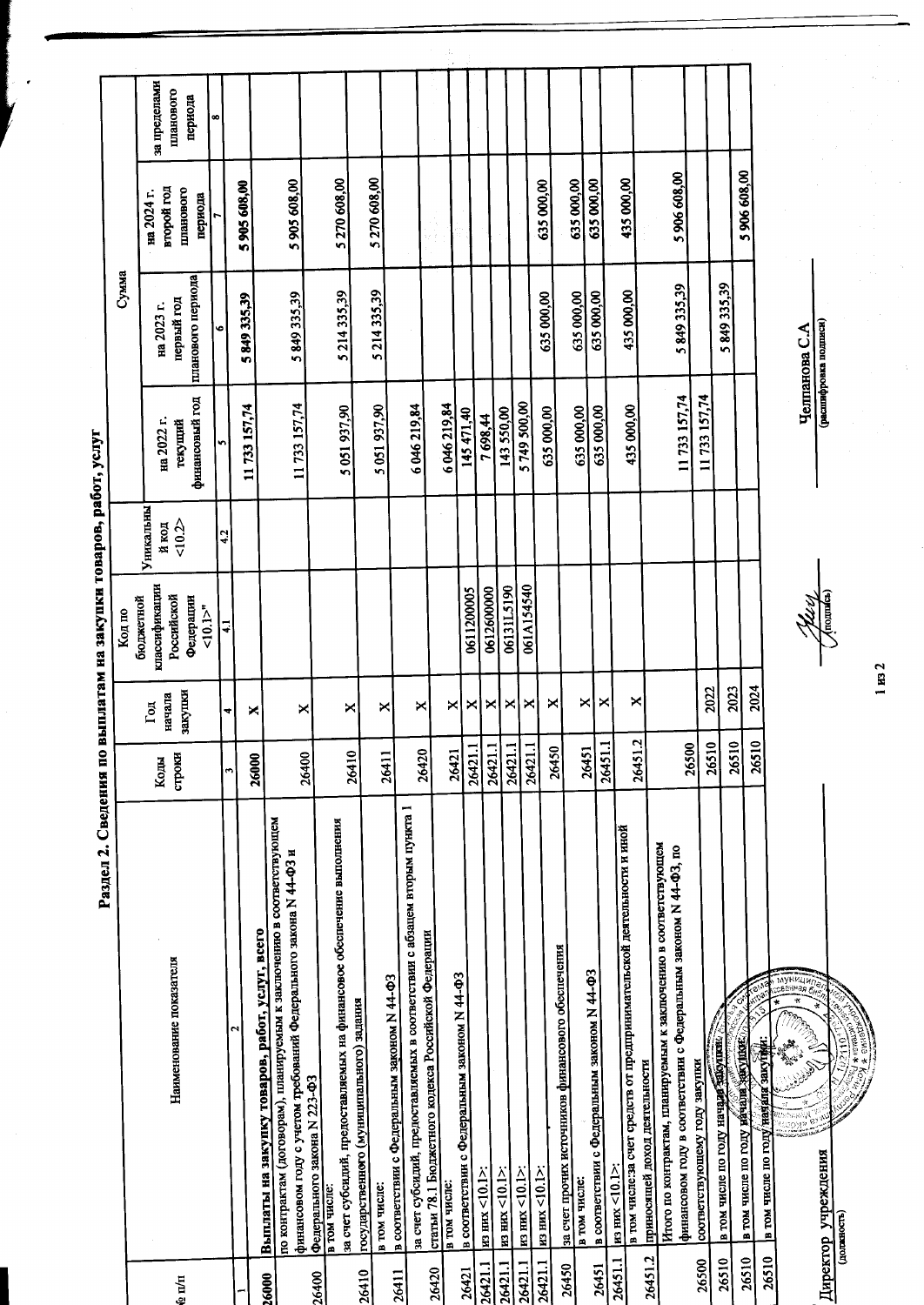Раздел 2. Сведения по выплатам на закупки товаров, работ, услуг

| планового периода<br>финансовый год<br>11 733 157,74<br>11 733 157,74<br>6046219,84<br>5 051 937,90<br>5 051 937,90<br>на 2022 г.<br>текуший<br>'n<br>Уникальны<br>50.2<br>й код<br>4.2<br>классификации<br>Российской<br>Федерации<br>бюджетной<br>10.1<br>$\ddot{•}$ | 6046219,84 | 145 471,40 | 7698,44 | 143550,00                                                                                                                                                | 5 749 500,00                                                                                                                                              | 635 000,00 | 635 000,00 | 435 000,00<br>635 000,00                                                                                             | 11733 157,74                                                                                                                                                                                                                                                                                                                                                                                                                                                                                                                                                                                                                                                                                                                                            | 11 733 157,74                 |                                          |                                                                           |
|------------------------------------------------------------------------------------------------------------------------------------------------------------------------------------------------------------------------------------------------------------------------|------------|------------|---------|----------------------------------------------------------------------------------------------------------------------------------------------------------|-----------------------------------------------------------------------------------------------------------------------------------------------------------|------------|------------|----------------------------------------------------------------------------------------------------------------------|---------------------------------------------------------------------------------------------------------------------------------------------------------------------------------------------------------------------------------------------------------------------------------------------------------------------------------------------------------------------------------------------------------------------------------------------------------------------------------------------------------------------------------------------------------------------------------------------------------------------------------------------------------------------------------------------------------------------------------------------------------|-------------------------------|------------------------------------------|---------------------------------------------------------------------------|
|                                                                                                                                                                                                                                                                        |            |            |         |                                                                                                                                                          |                                                                                                                                                           |            |            |                                                                                                                      |                                                                                                                                                                                                                                                                                                                                                                                                                                                                                                                                                                                                                                                                                                                                                         |                               |                                          |                                                                           |
|                                                                                                                                                                                                                                                                        |            |            |         |                                                                                                                                                          |                                                                                                                                                           |            |            |                                                                                                                      |                                                                                                                                                                                                                                                                                                                                                                                                                                                                                                                                                                                                                                                                                                                                                         |                               |                                          |                                                                           |
|                                                                                                                                                                                                                                                                        |            |            |         |                                                                                                                                                          |                                                                                                                                                           |            |            |                                                                                                                      |                                                                                                                                                                                                                                                                                                                                                                                                                                                                                                                                                                                                                                                                                                                                                         |                               |                                          |                                                                           |
|                                                                                                                                                                                                                                                                        |            |            |         |                                                                                                                                                          |                                                                                                                                                           |            |            |                                                                                                                      |                                                                                                                                                                                                                                                                                                                                                                                                                                                                                                                                                                                                                                                                                                                                                         |                               |                                          |                                                                           |
|                                                                                                                                                                                                                                                                        |            |            |         | 06131L5190<br>0611200005<br>0612600000                                                                                                                   |                                                                                                                                                           |            |            |                                                                                                                      |                                                                                                                                                                                                                                                                                                                                                                                                                                                                                                                                                                                                                                                                                                                                                         |                               |                                          | 061A154540                                                                |
| ×<br>×<br>×<br>×<br>×                                                                                                                                                                                                                                                  | ×          | ×          |         | ×<br>×                                                                                                                                                   | ×                                                                                                                                                         | ×          |            | ×<br>×<br>×                                                                                                          |                                                                                                                                                                                                                                                                                                                                                                                                                                                                                                                                                                                                                                                                                                                                                         | 2022                          | 2023                                     | 2024                                                                      |
| 26400<br>26000                                                                                                                                                                                                                                                         |            |            |         |                                                                                                                                                          |                                                                                                                                                           |            | 26450      | 26451                                                                                                                | 26500                                                                                                                                                                                                                                                                                                                                                                                                                                                                                                                                                                                                                                                                                                                                                   | 26510                         | 26510                                    | 26510                                                                     |
|                                                                                                                                                                                                                                                                        |            |            |         | в соответствии с Федеральным законом N 44-ФЗ<br>$m$ HZ $<$ 10.1>:<br>$\frac{\text{m}}{\text{m}}$ and $\frac{\text{m}}{\text{m}}$ (10.1>:<br>в том числе: | за счет субсидий, предоставляемых в соответствии с абзацем вторым пункта 1<br>статьи 78.1 Бюджетного кодекса Российской Федерации<br>$m \,$ HX $<$ 10.1>: |            |            | Итого по контрактам, планируемым к заключению в соответствующем<br>приносящей доход деятельности<br>$mg$ HMX <10.1>: | по контрактам (договорам), шаныруемым к заключению в соответствующем<br>за счет субсидий, предоставляемых на финансовое обеспечение выполнения<br>в том числе: за счет средств от предпринимательской деятельности и иной<br>финансовом году в соответствии с Федеральным законом N 44-ФЗ, по<br>финансовом году с учетом требований Федерального закона N 44-ФЗ и<br>Выплаты на закупку товаров, работ, услуг, всего<br>за счет прочих источников финансового обеспечения<br>в соответствии с Федеральным законом N 44-ФЗ<br>в соответствии с Федеральным законом N 44-ФЗ<br>государственного (муниципального) задания<br>Федерального закона N 223-ФЗ<br>$\mu$ 3 $\mu$ m $\times$ 10.1 $>$<br>в том числе:<br>в том числе:<br>в том числе:<br>26451.2 | соответствующему году закупки | ď<br>а том числе по году начале закопить | в том числе по году начали дакущей.<br>в том числе по году назала закущи: |
| 26410<br>26411                                                                                                                                                                                                                                                         | 26420      | 26421      | 26421.1 | 26421.1<br>26421.1                                                                                                                                       | 26421.1                                                                                                                                                   |            |            | 26451.2<br>26451.1                                                                                                   |                                                                                                                                                                                                                                                                                                                                                                                                                                                                                                                                                                                                                                                                                                                                                         |                               |                                          |                                                                           |
|                                                                                                                                                                                                                                                                        |            |            |         |                                                                                                                                                          |                                                                                                                                                           |            |            |                                                                                                                      |                                                                                                                                                                                                                                                                                                                                                                                                                                                                                                                                                                                                                                                                                                                                                         |                               |                                          |                                                                           |
|                                                                                                                                                                                                                                                                        |            |            |         |                                                                                                                                                          |                                                                                                                                                           |            |            |                                                                                                                      |                                                                                                                                                                                                                                                                                                                                                                                                                                                                                                                                                                                                                                                                                                                                                         |                               |                                          |                                                                           |
|                                                                                                                                                                                                                                                                        |            |            |         |                                                                                                                                                          |                                                                                                                                                           |            |            |                                                                                                                      |                                                                                                                                                                                                                                                                                                                                                                                                                                                                                                                                                                                                                                                                                                                                                         |                               |                                          |                                                                           |
|                                                                                                                                                                                                                                                                        |            |            |         |                                                                                                                                                          |                                                                                                                                                           |            |            |                                                                                                                      |                                                                                                                                                                                                                                                                                                                                                                                                                                                                                                                                                                                                                                                                                                                                                         |                               |                                          |                                                                           |
|                                                                                                                                                                                                                                                                        |            |            |         |                                                                                                                                                          |                                                                                                                                                           |            |            |                                                                                                                      |                                                                                                                                                                                                                                                                                                                                                                                                                                                                                                                                                                                                                                                                                                                                                         |                               |                                          |                                                                           |

 $1 \text{ ms } 2$ 

 $\hat{\mathcal{A}}$